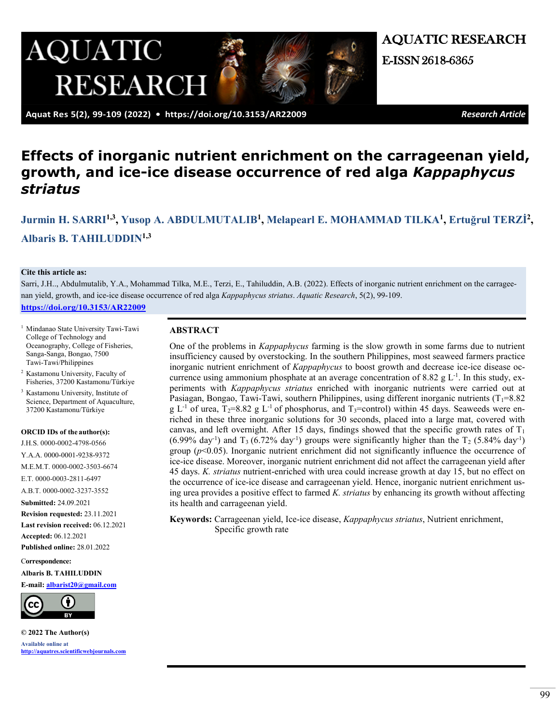

AQUATIC RESEARCH E-ISSN 2618-6365

 **Aquat Res 5(2), 99-109 (2022) • <https://doi.org/10.3153/AR22009>** *Research Article*

# **Effects of inorganic nutrient enrichment on the carrageenan yield, growth, and ice-ice disease occurrence of red alga** *Kappaphycus striatus*

**[Jurmin H. SARRI1](https://orcid.org/0000-0002-4798-0566),3, [Yusop A. ABDULMUTALIB1](https://orcid.org/0000-0001-9238-9372), [Melapearl E. MOHAMMAD TILKA1](https://orcid.org/0000-0002-3503-6674), Ertuğ[rul TERZ](https://orcid.org/0000-0003-2811-6497)İ2, [Albaris B. TAHILUDDIN1](https://orcid/0000-0002-3237-3552),3**

#### **Cite this article as:**

Sarri, J.H.., Abdulmutalib, Y.A., Mohammad Tilka, M.E., Terzi, E., Tahiluddin, A.B. (2022). Effects of inorganic nutrient enrichment on the carrageenan yield, growth, and ice-ice disease occurrence of red alga *Kappaphycus striatus*. *Aquatic Research*, 5(2), 99-109. **<https://doi.org/10.3153/AR22009>**

<sup>1</sup> Mindanao State University Tawi-Tawi College of Technology and Oceanography, College of Fisheries, Sanga-Sanga, Bongao, 7500 Tawi-Tawi/Philippines

<sup>2</sup> Kastamonu University, Faculty of Fisheries, 37200 Kastamonu/Türkiye

<sup>3</sup> Kastamonu University, Institute of Science, Department of Aquaculture, 37200 Kastamonu/Türkiye

#### **ORCID IDs of the author(s):**

J.H.S. 0000-0002-4798-0566 Y.A.A. 0000-0001-9238-9372 M.E.M.T. 0000-0002-3503-6674 E.T. 0000-0003-2811-6497 A.B.T. 0000-0002-3237-3552 **Submitted:** 24.09.2021 **Revision requested:** 23.11.2021 **Last revision received:** 06.12.2021 **Accepted:** 06.12.2021 **Published online:** 28.01.2022

C**orrespondence:**

**Albaris B. TAHILUDDIN**

#### **E-mail: [albarist20@gmail.com](mailto:albarist20@gmail.com)**



**© 2022 The Author(s) Available online at [http://aquatres.scientificwebjournals.com](http://aquatres.scientificwebjournals.com/)**

#### **ABSTRACT**

One of the problems in *Kappaphycus* farming is the slow growth in some farms due to nutrient insufficiency caused by overstocking. In the southern Philippines, most seaweed farmers practice inorganic nutrient enrichment of *Kappaphycus* to boost growth and decrease ice-ice disease occurrence using ammonium phosphate at an average concentration of 8.82  $g L<sup>-1</sup>$ . In this study, experiments with *Kappaphycus striatus* enriched with inorganic nutrients were carried out at Pasiagan, Bongao, Tawi-Tawi, southern Philippines, using different inorganic nutrients ( $T_1$ =8.82 g L<sup>-1</sup> of urea, T<sub>2</sub>=8.82 g L<sup>-1</sup> of phosphorus, and T<sub>3</sub>=control) within 45 days. Seaweeds were enriched in these three inorganic solutions for 30 seconds, placed into a large mat, covered with canvas, and left overnight. After 15 days, findings showed that the specific growth rates of  $T_1$  $(6.99\% \text{ day}^{-1})$  and T<sub>3</sub>  $(6.72\% \text{ day}^{-1})$  groups were significantly higher than the T<sub>2</sub>  $(5.84\% \text{ day}^{-1})$ group  $(p<0.05)$ . Inorganic nutrient enrichment did not significantly influence the occurrence of ice-ice disease. Moreover, inorganic nutrient enrichment did not affect the carrageenan yield after 45 days. *K. striatus* nutrient-enriched with urea could increase growth at day 15, but no effect on the occurrence of ice-ice disease and carrageenan yield. Hence, inorganic nutrient enrichment using urea provides a positive effect to farmed *K. striatus* by enhancing its growth without affecting its health and carrageenan yield.

**Keywords:** Carrageenan yield, Ice-ice disease, *Kappaphycus striatus*, Nutrient enrichment, Specific growth rate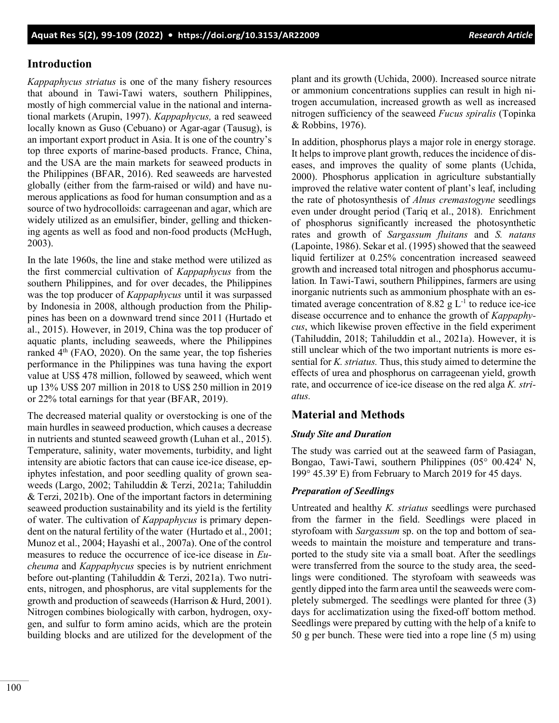# **Introduction**

*Kappaphycus striatus* is one of the many fishery resources that abound in Tawi-Tawi waters, southern Philippines, mostly of high commercial value in the national and international markets (Arupin, 1997). *Kappaphycus,* a red seaweed locally known as Guso (Cebuano) or Agar-agar (Tausug), is an important export product in Asia. It is one of the country's top three exports of marine-based products. France, China, and the USA are the main markets for seaweed products in the Philippines (BFAR, 2016). Red seaweeds are harvested globally (either from the farm-raised or wild) and have numerous applications as food for human consumption and as a source of two hydrocolloids: carrageenan and agar, which are widely utilized as an emulsifier, binder, gelling and thickening agents as well as food and non-food products (McHugh, 2003).

In the late 1960s, the line and stake method were utilized as the first commercial cultivation of *Kappaphycus* from the southern Philippines, and for over decades, the Philippines was the top producer of *Kappaphycus* until it was surpassed by Indonesia in 2008, although production from the Philippines has been on a downward trend since 2011 (Hurtado et al., 2015). However, in 2019, China was the top producer of aquatic plants, including seaweeds, where the Philippines ranked  $4<sup>th</sup>$  (FAO, 2020). On the same year, the top fisheries performance in the Philippines was tuna having the export value at US\$ 478 million, followed by seaweed, which went up 13% US\$ 207 million in 2018 to US\$ 250 million in 2019 or 22% total earnings for that year (BFAR, 2019).

The decreased material quality or overstocking is one of the main hurdles in seaweed production, which causes a decrease in nutrients and stunted seaweed growth (Luhan et al., 2015). Temperature, salinity, water movements, turbidity, and light intensity are abiotic factors that can cause ice-ice disease, epiphytes infestation, and poor seedling quality of grown seaweeds (Largo, 2002; Tahiluddin & Terzi, 2021a; Tahiluddin & Terzi, 2021b). One of the important factors in determining seaweed production sustainability and its yield is the fertility of water. The cultivation of *Kappaphycus* is primary dependent on the natural fertility of the water (Hurtado et al., 2001; Munoz et al., 2004; Hayashi et al., 2007a). One of the control measures to reduce the occurrence of ice-ice disease in *Eucheuma* and *Kappaphycus* species is by nutrient enrichment before out-planting (Tahiluddin & Terzi, 2021a). Two nutrients, nitrogen, and phosphorus, are vital supplements for the growth and production of seaweeds (Harrison & Hurd, 2001). Nitrogen combines biologically with carbon, hydrogen, oxygen, and sulfur to form amino acids, which are the protein building blocks and are utilized for the development of the plant and its growth (Uchida, 2000). Increased source nitrate or ammonium concentrations supplies can result in high nitrogen accumulation, increased growth as well as increased nitrogen sufficiency of the seaweed *Fucus spiralis* (Topinka & Robbins, 1976).

In addition, phosphorus plays a major role in energy storage. It helps to improve plant growth, reduces the incidence of diseases, and improves the quality of some plants (Uchida, 2000). Phosphorus application in agriculture substantially improved the relative water content of plant's leaf, including the rate of photosynthesis of *Alnus cremastogyne* seedlings even under drought period (Tariq et al., 2018). Enrichment of phosphorus significantly increased the photosynthetic rates and growth of *Sargassum fluitans* and *S. natans* (Lapointe, 1986). Sekar et al. (1995) showed that the seaweed liquid fertilizer at 0.25% concentration increased seaweed growth and increased total nitrogen and phosphorus accumulation*.* In Tawi-Tawi, southern Philippines, farmers are using inorganic nutrients such as ammonium phosphate with an estimated average concentration of 8.82  $g L^{-1}$  to reduce ice-ice disease occurrence and to enhance the growth of *Kappaphycus*, which likewise proven effective in the field experiment (Tahiluddin, 2018; Tahiluddin et al., 2021a). However, it is still unclear which of the two important nutrients is more essential for *K. striatus.* Thus, this study aimed to determine the effects of urea and phosphorus on carrageenan yield, growth rate, and occurrence of ice-ice disease on the red alga *K. striatus.*

# **Material and Methods**

## *Study Site and Duration*

The study was carried out at the seaweed farm of Pasiagan, Bongao, Tawi-Tawi, southern Philippines (05° 00.424' N, 199° 45.39' E) from February to March 2019 for 45 days.

## *Preparation of Seedlings*

Untreated and healthy *K. striatus* seedlings were purchased from the farmer in the field. Seedlings were placed in styrofoam with *Sargassum* sp. on the top and bottom of seaweeds to maintain the moisture and temperature and transported to the study site via a small boat. After the seedlings were transferred from the source to the study area, the seedlings were conditioned. The styrofoam with seaweeds was gently dipped into the farm area until the seaweeds were completely submerged. The seedlings were planted for three (3) days for acclimatization using the fixed-off bottom method. Seedlings were prepared by cutting with the help of a knife to 50 g per bunch. These were tied into a rope line (5 m) using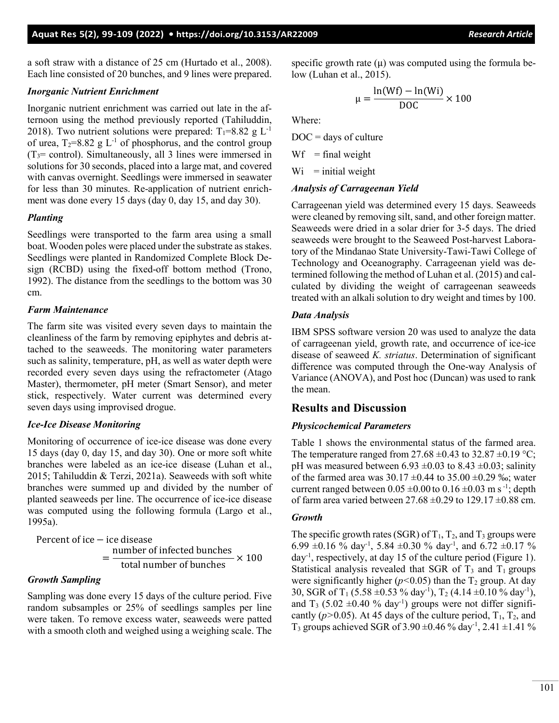a soft straw with a distance of 25 cm (Hurtado et al., 2008). Each line consisted of 20 bunches, and 9 lines were prepared.

#### *Inorganic Nutrient Enrichment*

Inorganic nutrient enrichment was carried out late in the afternoon using the method previously reported (Tahiluddin, 2018). Two nutrient solutions were prepared:  $T_1=8.82 \text{ g L}^{-1}$ of urea,  $T_2=8.82$  g L<sup>-1</sup> of phosphorus, and the control group  $(T<sub>3</sub>= control)$ . Simultaneously, all 3 lines were immersed in solutions for 30 seconds, placed into a large mat, and covered with canvas overnight. Seedlings were immersed in seawater for less than 30 minutes. Re-application of nutrient enrichment was done every 15 days (day 0, day 15, and day 30).

#### *Planting*

Seedlings were transported to the farm area using a small boat. Wooden poles were placed under the substrate as stakes. Seedlings were planted in Randomized Complete Block Design (RCBD) using the fixed-off bottom method (Trono, 1992). The distance from the seedlings to the bottom was 30 cm.

## *Farm Maintenance*

The farm site was visited every seven days to maintain the cleanliness of the farm by removing epiphytes and debris attached to the seaweeds. The monitoring water parameters such as salinity, temperature, pH, as well as water depth were recorded every seven days using the refractometer (Atago Master), thermometer, pH meter (Smart Sensor), and meter stick, respectively. Water current was determined every seven days using improvised drogue.

## *Ice-Ice Disease Monitoring*

Monitoring of occurrence of ice-ice disease was done every 15 days (day 0, day 15, and day 30). One or more soft white branches were labeled as an ice-ice disease (Luhan et al., 2015; Tahiluddin & Terzi, 2021a). Seaweeds with soft white branches were summed up and divided by the number of planted seaweeds per line. The occurrence of ice-ice disease was computed using the following formula (Largo et al., 1995a).

Percent of ice – ice disease  $=\frac{\text{number of infected bunches}}{\text{total number of bunches}} \times 100$ 

## *Growth Sampling*

Sampling was done every 15 days of the culture period. Five random subsamples or 25% of seedlings samples per line were taken. To remove excess water, seaweeds were patted with a smooth cloth and weighed using a weighing scale. The specific growth rate  $(\mu)$  was computed using the formula below (Luhan et al., 2015).

$$
\mu = \frac{\ln(\text{Wf}) - \ln(\text{Wi})}{\text{DOC}} \times 100
$$

Where:

 $DOC = days of culture$ 

 $Wf$  = final weight

 $Wi = initial weight$ 

#### *Analysis of Carrageenan Yield*

Carrageenan yield was determined every 15 days. Seaweeds were cleaned by removing silt, sand, and other foreign matter. Seaweeds were dried in a solar drier for 3-5 days. The dried seaweeds were brought to the Seaweed Post-harvest Laboratory of the Mindanao State University-Tawi-Tawi College of Technology and Oceanography. Carrageenan yield was determined following the method of Luhan et al. (2015) and calculated by dividing the weight of carrageenan seaweeds treated with an alkali solution to dry weight and times by 100.

## *Data Analysis*

IBM SPSS software version 20 was used to analyze the data of carrageenan yield, growth rate, and occurrence of ice-ice disease of seaweed *K. striatus*. Determination of significant difference was computed through the One-way Analysis of Variance (ANOVA), and Post hoc (Duncan) was used to rank the mean.

# **Results and Discussion**

# *Physicochemical Parameters*

Table 1 shows the environmental status of the farmed area. The temperature ranged from 27.68  $\pm$ 0.43 to 32.87  $\pm$ 0.19 °C; pH was measured between  $6.93 \pm 0.03$  to  $8.43 \pm 0.03$ ; salinity of the farmed area was  $30.17 \pm 0.44$  to  $35.00 \pm 0.29$  ‰; water current ranged between  $0.05 \pm 0.00$  to  $0.16 \pm 0.03$  m s<sup>-1</sup>; depth of farm area varied between  $27.68 \pm 0.29$  to  $129.17 \pm 0.88$  cm.

## *Growth*

The specific growth rates (SGR) of  $T_1$ ,  $T_2$ , and  $T_3$  groups were 6.99  $\pm$ 0.16 % day<sup>-1</sup>, 5.84  $\pm$ 0.30 % day<sup>-1</sup>, and 6.72  $\pm$ 0.17 % day-1 , respectively, at day 15 of the culture period (Figure 1). Statistical analysis revealed that SGR of  $T_3$  and  $T_1$  groups were significantly higher  $(p<0.05)$  than the T<sub>2</sub> group. At day 30, SGR of T<sub>1</sub> (5.58  $\pm$ 0.53 % day<sup>-1</sup>), T<sub>2</sub> (4.14  $\pm$ 0.10 % day<sup>-1</sup>), and  $T_3$  (5.02  $\pm$ 0.40 % day<sup>-1</sup>) groups were not differ significantly ( $p > 0.05$ ). At 45 days of the culture period,  $T_1$ ,  $T_2$ , and T<sub>3</sub> groups achieved SGR of  $3.90 \pm 0.46$  % day<sup>-1</sup>,  $2.41 \pm 1.41$  %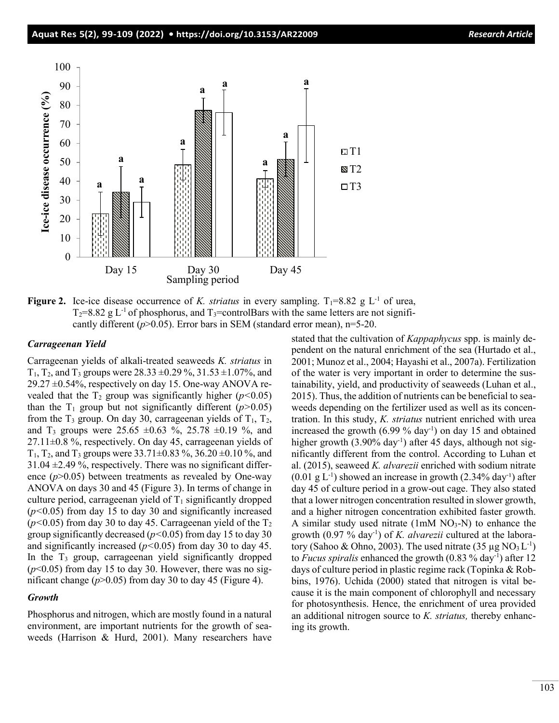

**Figure 2.** Ice-ice disease occurrence of *K. striatus* in every sampling.  $T_1=8.82$  g L<sup>-1</sup> of urea,  $T_2=8.82$  g L<sup>-1</sup> of phosphorus, and  $T_3$ =controlBars with the same letters are not significantly different  $(p>0.05)$ . Error bars in SEM (standard error mean), n=5-20.

#### *Carrageenan Yield*

Carrageenan yields of alkali-treated seaweeds *K. striatus* in  $T_1$ ,  $T_2$ , and  $T_3$  groups were 28.33  $\pm$ 0.29 %, 31.53  $\pm$ 1.07%, and  $29.27 \pm 0.54\%$ , respectively on day 15. One-way ANOVA revealed that the  $T_2$  group was significantly higher ( $p$ <0.05) than the  $T_1$  group but not significantly different ( $p > 0.05$ ) from the  $T_3$  group. On day 30, carrageenan yields of  $T_1$ ,  $T_2$ , and T<sub>3</sub> groups were  $25.65 \pm 0.63$  %,  $25.78 \pm 0.19$  %, and  $27.11\pm0.8$  %, respectively. On day 45, carrageenan yields of  $T_1$ ,  $T_2$ , and  $T_3$  groups were 33.71 $\pm$ 0.83 %, 36.20 $\pm$ 0.10 %, and  $31.04 \pm 2.49$ %, respectively. There was no significant difference  $(p>0.05)$  between treatments as revealed by One-way ANOVA on days 30 and 45 (Figure 3). In terms of change in culture period, carrageenan yield of  $T_1$  significantly dropped (*p<*0.05) from day 15 to day 30 and significantly increased  $(p<0.05)$  from day 30 to day 45. Carrageenan yield of the  $T_2$ group significantly decreased (*p<*0.05) from day 15 to day 30 and significantly increased (*p<*0.05) from day 30 to day 45. In the  $T_3$  group, carrageenan yield significantly dropped  $(p<0.05)$  from day 15 to day 30. However, there was no significant change  $(p>0.05)$  from day 30 to day 45 (Figure 4).

#### *Growth*

Phosphorus and nitrogen, which are mostly found in a natural environment, are important nutrients for the growth of seaweeds (Harrison & Hurd, 2001). Many researchers have stated that the cultivation of *Kappaphycus* spp. is mainly dependent on the natural enrichment of the sea (Hurtado et al., 2001; Munoz et al., 2004; Hayashi et al., 2007a). Fertilization of the water is very important in order to determine the sustainability, yield, and productivity of seaweeds (Luhan et al., 2015). Thus, the addition of nutrients can be beneficial to seaweeds depending on the fertilizer used as well as its concentration. In this study, *K. striatus* nutrient enriched with urea increased the growth (6.99 % day-1 ) on day 15 and obtained higher growth (3.90% day<sup>-1</sup>) after 45 days, although not significantly different from the control. According to Luhan et al. (2015), seaweed *K. alvarezii* enriched with sodium nitrate  $(0.01 \text{ g L}^{-1})$  showed an increase in growth  $(2.34\% \text{ day}^{-1})$  after day 45 of culture period in a grow-out cage. They also stated that a lower nitrogen concentration resulted in slower growth, and a higher nitrogen concentration exhibited faster growth. A similar study used nitrate  $(1 \text{mM NO}_3-N)$  to enhance the growth (0.97 % day-1 ) of *K. alvarezii* cultured at the laboratory (Sahoo & Ohno, 2003). The used nitrate  $(35 \mu g NO<sub>3</sub> L<sup>-1</sup>)$ to *Fucus spiralis* enhanced the growth (0.83 % day-1 ) after 12 days of culture period in plastic regime rack (Topinka & Robbins, 1976). Uchida (2000) stated that nitrogen is vital because it is the main component of chlorophyll and necessary for photosynthesis. Hence, the enrichment of urea provided an additional nitrogen source to *K. striatus,* thereby enhancing its growth.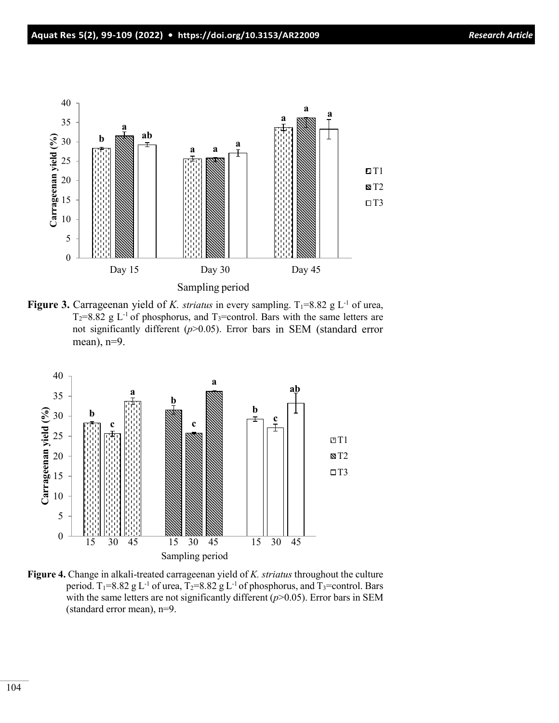

**Figure 3.** Carrageenan yield of *K. striatus* in every sampling.  $T_1=8.82$  g L<sup>-1</sup> of urea,  $T_2=8.82$  g L<sup>-1</sup> of phosphorus, and  $T_3=$ control. Bars with the same letters are not significantly different (*p*>0.05). Error bars in SEM (standard error mean), n=9.



**Figure 4.** Change in alkali-treated carrageenan yield of *K. striatus* throughout the culture period. T<sub>1</sub>=8.82 g L<sup>-1</sup> of urea, T<sub>2</sub>=8.82 g L<sup>-1</sup> of phosphorus, and T<sub>3</sub>=control. Bars with the same letters are not significantly different ( $p$ >0.05). Error bars in SEM (standard error mean), n=9.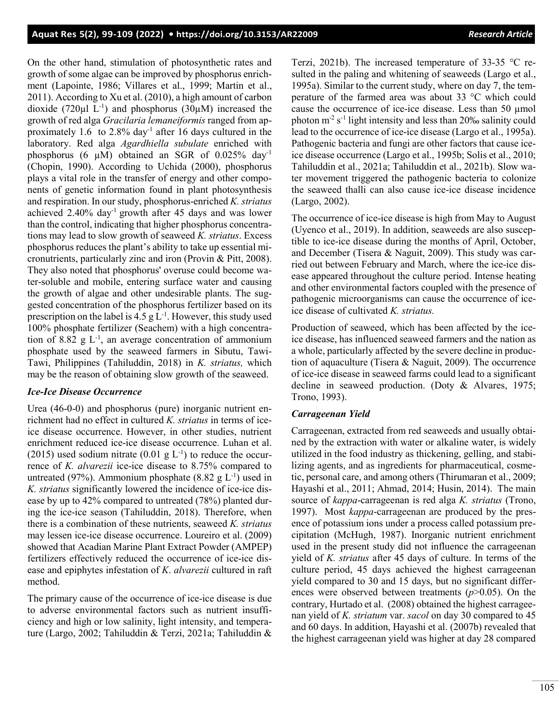On the other hand, stimulation of photosynthetic rates and growth of some algae can be improved by phosphorus enrichment (Lapointe, 1986; Villares et al., 1999; Martin et al., 2011). According to Xu et al. (2010), a high amount of carbon dioxide (720 $\mu$ l L<sup>-1</sup>) and phosphorus (30 $\mu$ M) increased the growth of red alga *Gracilaria lemaneiformis* ranged from approximately 1.6 to 2.8% day<sup>-1</sup> after 16 days cultured in the laboratory. Red alga *Agardhiella subulate* enriched with phosphorus (6  $\mu$ M) obtained an SGR of 0.025% day<sup>-1</sup> (Chopin, 1990). According to Uchida (2000), phosphorus plays a vital role in the transfer of energy and other components of genetic information found in plant photosynthesis and respiration. In our study, phosphorus-enriched *K. striatus* achieved 2.40% day-1 growth after 45 days and was lower than the control, indicating that higher phosphorus concentrations may lead to slow growth of seaweed *K. striatus*. Excess phosphorus reduces the plant's ability to take up essential micronutrients, particularly zinc and iron (Provin & Pitt, 2008). They also noted that phosphorus' overuse could become water-soluble and mobile, entering surface water and causing the growth of algae and other undesirable plants. The suggested concentration of the phosphorus fertilizer based on its prescription on the label is  $4.5 \text{ g L}^{-1}$ . However, this study used 100% phosphate fertilizer (Seachem) with a high concentration of 8.82  $g L^{-1}$ , an average concentration of ammonium phosphate used by the seaweed farmers in Sibutu, Tawi-Tawi, Philippines (Tahiluddin, 2018) in *K. striatus,* which may be the reason of obtaining slow growth of the seaweed.

## *Ice-Ice Disease Occurrence*

Urea (46-0-0) and phosphorus (pure) inorganic nutrient enrichment had no effect in cultured *K. striatus* in terms of iceice disease occurrence. However, in other studies, nutrient enrichment reduced ice-ice disease occurrence. Luhan et al. (2015) used sodium nitrate (0.01  $g L^{-1}$ ) to reduce the occurrence of *K. alvarezii* ice-ice disease to 8.75% compared to untreated (97%). Ammonium phosphate  $(8.82 \text{ g L}^{-1})$  used in *K. striatus* significantly lowered the incidence of ice-ice disease by up to 42% compared to untreated (78%) planted during the ice-ice season (Tahiluddin, 2018). Therefore, when there is a combination of these nutrients, seaweed *K. striatus* may lessen ice-ice disease occurrence. Loureiro et al. (2009) showed that Acadian Marine Plant Extract Powder (AMPEP) fertilizers effectively reduced the occurrence of ice-ice disease and epiphytes infestation of *K*. *alvarezii* cultured in raft method.

The primary cause of the occurrence of ice-ice disease is due to adverse environmental factors such as nutrient insufficiency and high or low salinity, light intensity, and temperature (Largo, 2002; Tahiluddin & Terzi, 2021a; Tahiluddin & Terzi, 2021b). The increased temperature of 33-35 °C resulted in the paling and whitening of seaweeds (Largo et al., 1995a). Similar to the current study, where on day 7, the temperature of the farmed area was about 33 °C which could cause the occurrence of ice-ice disease. Less than 50 µmol photon  $m^2 s^{-1}$  light intensity and less than 20‰ salinity could lead to the occurrence of ice-ice disease (Largo et al., 1995a). Pathogenic bacteria and fungi are other factors that cause iceice disease occurrence (Largo et al., 1995b; Solis et al., 2010; Tahiluddin et al., 2021a; Tahiluddin et al., 2021b). Slow water movement triggered the pathogenic bacteria to colonize the seaweed thalli can also cause ice-ice disease incidence (Largo, 2002).

The occurrence of ice-ice disease is high from May to August (Uyenco et al., 2019). In addition, seaweeds are also susceptible to ice-ice disease during the months of April, October, and December (Tisera & Naguit, 2009). This study was carried out between February and March, where the ice-ice disease appeared throughout the culture period. Intense heating and other environmental factors coupled with the presence of pathogenic microorganisms can cause the occurrence of iceice disease of cultivated *K. striatus.*

Production of seaweed, which has been affected by the iceice disease, has influenced seaweed farmers and the nation as a whole, particularly affected by the severe decline in production of aquaculture (Tisera & Naguit, 2009). The occurrence of ice-ice disease in seaweed farms could lead to a significant decline in seaweed production. (Doty & Alvares, 1975; Trono, 1993).

## *Carrageenan Yield*

Carrageenan, extracted from red seaweeds and usually obtained by the extraction with water or alkaline water, is widely utilized in the food industry as thickening, gelling, and stabilizing agents, and as ingredients for pharmaceutical, cosmetic, personal care, and among others (Thirumaran et al., 2009; Hayashi et al., 2011; Ahmad, 2014; Husin, 2014). The main source of *kappa*-carrageenan is red alga *K. striatus* (Trono, 1997). Most *kappa*-carrageenan are produced by the presence of potassium ions under a process called potassium precipitation (McHugh, 1987). Inorganic nutrient enrichment used in the present study did not influence the carrageenan yield of *K. striatus* after 45 days of culture. In terms of the culture period, 45 days achieved the highest carrageenan yield compared to 30 and 15 days, but no significant differences were observed between treatments (*p*>0.05). On the contrary, Hurtado et al. (2008) obtained the highest carrageenan yield of *K. striatum* var. *sacol* on day 30 compared to 45 and 60 days. In addition, Hayashi et al. (2007b) revealed that the highest carrageenan yield was higher at day 28 compared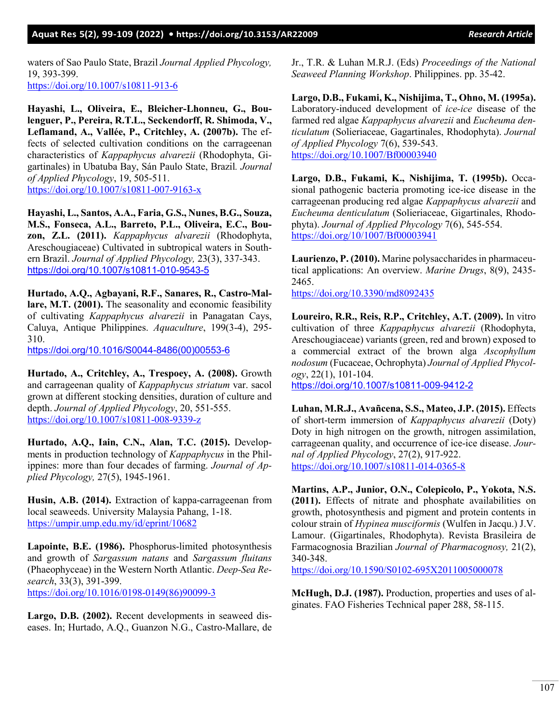#### **Aquat Res 5(2), 99-109 (2022) •<https://doi.org/10.3153/AR22009>***Research Article*

waters of Sao Paulo State, Brazil *Journal Applied Phycology,*  19, 393-399. <https://doi.org/10.1007/s10811-913-6>

**Hayashi, L., Oliveira, E., Bleicher-Lhonneu, G., Boulenguer, P., Pereira, R.T.L., Seckendorff, R. Shimoda, V., Leflamand, A., Vallée, P., Critchley, A. (2007b).** The effects of selected cultivation conditions on the carrageenan characteristics of *Kappaphycus alvarezii* (Rhodophyta, Gigartinales) in Ubatuba Bay, Sán Paulo State, Brazil*. Journal of Applied Phycology*, 19, 505-511. <https://doi.org/10.1007/s10811-007-9163-x>

**Hayashi, L., Santos, A.A., Faria, G.S., Nunes, B.G., Souza, M.S., Fonseca, A.L., Barreto, P.L., Oliveira, E.C., Bouzon, Z.L. (2011).** *Kappaphycus alvarezii* (Rhodophyta, Areschougiaceae) Cultivated in subtropical waters in Southern Brazil. *Journal of Applied Phycology,* 23(3), 337-343. <https://doi.org/10.1007/s10811-010-9543-5>

**Hurtado, A.Q., Agbayani, R.F., Sanares, R., Castro-Mallare, M.T. (2001).** The seasonality and economic feasibility of cultivating *Kappaphycus alvarezii* in Panagatan Cays, Caluya, Antique Philippines. *Aquaculture*, 199(3-4), 295-310.

[https://doi.org/10.1016/S0044-8486\(00\)00553-6](https://doi.org/10.1016/S0044-8486(00)00553-6)

**Hurtado, A., Critchley, A., Trespoey, A. (2008).** Growth and carrageenan quality of *Kappaphycus striatum* var. sacol grown at different stocking densities, duration of culture and depth. *Journal of Applied Phycology*, 20, 551-555. <https://doi.org/10.1007/s10811-008-9339-z>

**Hurtado, A.Q., Iain, C.N., Alan, T.C. (2015).** Developments in production technology of *Kappaphycus* in the Philippines: more than four decades of farming. *Journal of Applied Phycology,* 27(5), 1945-1961.

**Husin, A.B. (2014).** Extraction of kappa-carrageenan from local seaweeds. University Malaysia Pahang, 1-18. <https://umpir.ump.edu.my/id/eprint/10682>

**Lapointe, B.E. (1986).** Phosphorus-limited photosynthesis and growth of *Sargassum natans* and *Sargassum fluitans* (Phaeophyceae) in the Western North Atlantic. *Deep-Sea Research*, 33(3), 391-399. [https://doi.org/10.1016/0198-0149\(86\)90099-3](https://doi.org/10.1016/0198-0149(86)90099-3) 

**Largo, D.B. (2002).** Recent developments in seaweed diseases. In; Hurtado, A.Q., Guanzon N.G., Castro-Mallare, de

Jr., T.R. & Luhan M.R.J. (Eds) *Proceedings of the National Seaweed Planning Workshop*. Philippines. pp. 35-42.

**Largo, D.B., Fukami, K., Nishijima, T., Ohno, M. (1995a).** Laboratory-induced development of *ice-ice* disease of the farmed red algae *Kappaphycus alvarezii* and *Eucheuma denticulatum* (Solieriaceae, Gagartinales, Rhodophyta). *Journal of Applied Phycology* 7(6), 539-543. <https://doi.org/10.1007/Bf00003940>

**Largo, D.B., Fukami, K., Nishijima, T. (1995b).** Occasional pathogenic bacteria promoting ice-ice disease in the carrageenan producing red algae *Kappaphycus alvarezii* and *Eucheuma denticulatum* (Solieriaceae, Gigartinales, Rhodophyta). *Journal of Applied Phycology* 7(6), 545-554. <https://doi.org/10/1007/Bf00003941>

**Laurienzo, P. (2010).** Marine polysaccharides in pharmaceutical applications: An overview. *Marine Drugs*, 8(9), 2435- 2465.

<https://doi.org/10.3390/md8092435>

**Loureiro, R.R., Reis, R.P., Critchley, A.T. (2009).** In vitro cultivation of three *Kappaphycus alvarezii* (Rhodophyta, Areschougiaceae) variants (green, red and brown) exposed to a commercial extract of the brown alga *Ascophyllum nodosum* (Fucaceae, Ochrophyta) *Journal of Applied Phycol-ogy*, 22(1), 101-104. <https://doi.org/10.1007/s10811-009-9412-2>

**Luhan, M.R.J., Avañcena, S.S., Mateo, J.P. (2015).** Effects of short-term immersion of *Kappaphycus alvarezii* (Doty) Doty in high nitrogen on the growth, nitrogen assimilation, carrageenan quality, and occurrence of ice-ice disease. *Journal of Applied Phycology*, 27(2), 917-922. <https://doi.org/10.1007/s10811-014-0365-8>

**Martins, A.P., Junior, O.N., Colepicolo, P., Yokota, N.S. (2011).** Effects of nitrate and phosphate availabilities on growth, photosynthesis and pigment and protein contents in colour strain of *Hypinea musciformis* (Wulfen in Jacqu.) J.V. Lamour. (Gigartinales, Rhodophyta). Revista Brasileira de Farmacognosia Brazilian *Journal of Pharmacognosy,* 21(2), 340-348.

<https://doi.org/10.1590/S0102-695X2011005000078>

**McHugh, D.J. (1987).** Production, properties and uses of alginates. FAO Fisheries Technical paper 288, 58-115.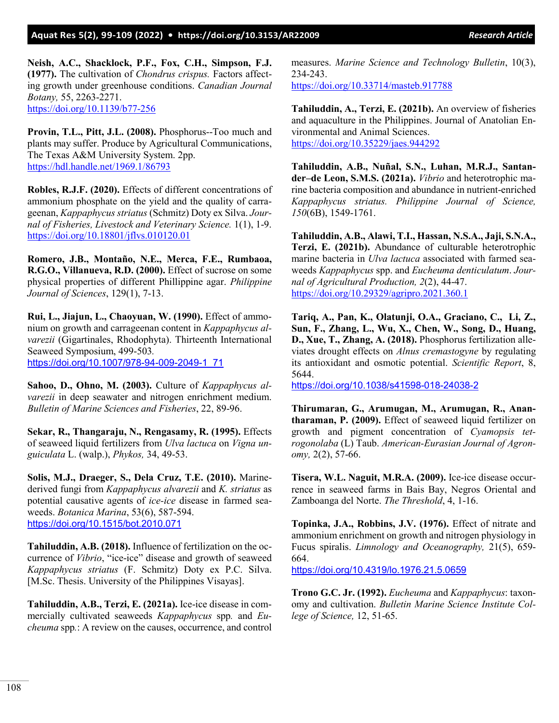**Neish, A.C., Shacklock, P.F., Fox, C.H., Simpson, F.J. (1977).** The cultivation of *Chondrus crispus.* Factors affecting growth under greenhouse conditions. *Canadian Journal Botany,* 55, 2263-2271. <https://doi.org/10.1139/b77-256>

**Provin, T.L., Pitt, J.L. (2008).** Phosphorus--Too much and plants may suffer. Produce by Agricultural Communications, The Texas A&M University System. 2pp. <https://hdl.handle.net/1969.1/86793>

**Robles, R.J.F. (2020).** Effects of different concentrations of ammonium phosphate on the yield and the quality of carrageenan, *Kappaphycus striatus* (Schmitz) Doty ex Silva. *Journal of Fisheries, Livestock and Veterinary Science.* 1(1), 1-9. <https://doi.org/10.18801/jflvs.010120.01>

**Romero, J.B., Montaño, N.E., Merca, F.E., Rumbaoa, R.G.O., Villanueva, R.D. (2000).** Effect of sucrose on some physical properties of different Phillippine agar. *Philippine Journal of Sciences*, 129(1), 7-13.

**Rui, L., Jiajun, L., Chaoyuan, W. (1990).** Effect of ammonium on growth and carrageenan content in *Kappaphycus alvarezii* (Gigartinales, Rhodophyta). Thirteenth International Seaweed Symposium, 499-503*.*  [https://doi.org/10.1007/978-94-009-2049-1\\_71](https://doi.org/10.1007/978-94-009-2049-1_71)

**Sahoo, D., Ohno, M. (2003).** Culture of *Kappaphycus alvarezii* in deep seawater and nitrogen enrichment medium. *Bulletin of Marine Sciences and Fisheries*, 22, 89-96.

**Sekar, R., Thangaraju, N., Rengasamy, R. (1995).** Effects of seaweed liquid fertilizers from *Ulva lactuca* on *Vigna unguiculata* L. (walp.), *Phykos,* 34, 49-53.

**Solis, M.J., Draeger, S., Dela Cruz, T.E. (2010).** Marinederived fungi from *Kappaphycus alvarezii* and *K. striatus* as potential causative agents of *ice-ice* disease in farmed seaweeds. *Botanica Marina*, 53(6), 587-594. <https://doi.org/10.1515/bot.2010.071>

**Tahiluddin, A.B. (2018).** Influence of fertilization on the occurrence of *Vibrio*, "ice-ice" disease and growth of seaweed *Kappaphycus striatus* (F. Schmitz) Doty ex P.C. Silva. [M.Sc. Thesis. University of the Philippines Visayas].

**Tahiluddin, A.B., Terzi, E. (2021a).** Ice-ice disease in commercially cultivated seaweeds *Kappaphycus* spp*.* and *Eucheuma* spp*.*: A review on the causes, occurrence, and control measures. *Marine Science and Technology Bulletin*, 10(3), 234-243.

<https://doi.org/10.33714/masteb.917788>

**Tahiluddin, A., Terzi, E. (2021b).** An overview of fisheries and aquaculture in the Philippines. Journal of Anatolian Environmental and Animal Sciences. <https://doi.org/10.35229/jaes.944292>

**Tahiluddin, A.B., Nuñal, S.N., Luhan, M.R.J., Santander–de Leon, S.M.S. (2021a).** *Vibrio* and heterotrophic marine bacteria composition and abundance in nutrient-enriched *Kappaphycus striatus. Philippine Journal of Science, 150*(6B), 1549-1761.

**Tahiluddin, A.B., Alawi, T.I., Hassan, N.S.A., Jaji, S.N.A., Terzi, E. (2021b).** Abundance of culturable heterotrophic marine bacteria in *Ulva lactuca* associated with farmed seaweeds *Kappaphycus* spp. and *Eucheuma denticulatum*. *Journal of Agricultural Production, 2*(2), 44-47. <https://doi.org/10.29329/agripro.2021.360.1>

**Tariq, A., Pan, K., Olatunji, O.A., Graciano, C., Li, Z., Sun, F., Zhang, L., Wu, X., Chen, W., Song, D., Huang, D., Xue, T., Zhang, A. (2018).** Phosphorus fertilization alleviates drought effects on *Alnus cremastogyne* by regulating its antioxidant and osmotic potential. *Scientific Report*, 8, 5644.

<https://doi.org/10.1038/s41598-018-24038-2>

**Thirumaran, G., Arumugan, M., Arumugan, R., Anantharaman, P. (2009).** Effect of seaweed liquid fertilizer on growth and pigment concentration of *Cyamopsis tetrogonolaba* (L) Taub. *American-Eurasian Journal of Agronomy,* 2(2), 57-66.

**Tisera, W.L. Naguit, M.R.A. (2009).** Ice-ice disease occurrence in seaweed farms in Bais Bay, Negros Oriental and Zamboanga del Norte. *The Threshold*, 4, 1-16.

**Topinka, J.A., Robbins, J.V. (1976).** Effect of nitrate and ammonium enrichment on growth and nitrogen physiology in Fucus spiralis. *Limnology and Oceanography,* 21(5), 659-664.

<https://doi.org/10.4319/lo.1976.21.5.0659>

**Trono G.C. Jr. (1992).** *Eucheuma* and *Kappaphycus*: taxonomy and cultivation. *Bulletin Marine Science Institute College of Science,* 12, 51-65.